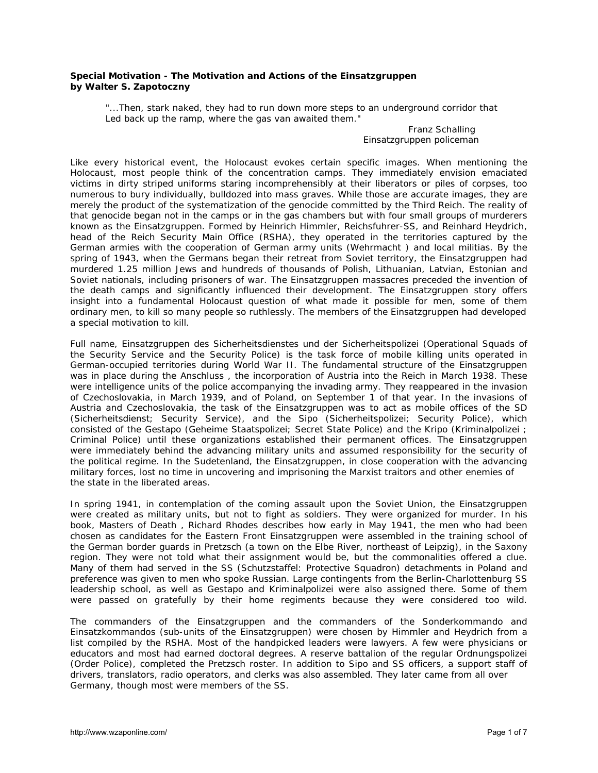## **Special Motivation - The Motivation and Actions of the Einsatzgruppen by Walter S. Zapotoczny**

 "...Then, stark naked, they had to run down more steps to an underground corridor that Led back up the ramp, where the gas van awaited them."

## Franz Schalling *Einsatzgruppen policeman*

Like every historical event, the Holocaust evokes certain specific images. When mentioning the Holocaust, most people think of the concentration camps. They immediately envision emaciated victims in dirty striped uniforms staring incomprehensibly at their liberators or piles of corpses, too numerous to bury individually, bulldozed into mass graves. While those are accurate images, they are merely the product of the systematization of the genocide committed by the Third Reich. The reality of that genocide began not in the camps or in the gas chambers but with four small groups of murderers known as the *Einsatzgruppen*. Formed by Heinrich Himmler, *Reichsfuhrer-SS*, and Reinhard Heydrich, head of the Reich Security Main Office (RSHA), they operated in the territories captured by the German armies with the cooperation of German army units (*Wehrmacht* ) and local militias. By the spring of 1943, when the Germans began their retreat from Soviet territory, the *Einsatzgruppen* had murdered 1.25 million Jews and hundreds of thousands of Polish, Lithuanian, Latvian, Estonian and Soviet nationals, including prisoners of war. The *Einsatzgruppen* massacres preceded the invention of the death camps and significantly influenced their development. The *Einsatzgruppen* story offers insight into a fundamental Holocaust question of what made it possible for men, some of them ordinary men, to kill so many people so ruthlessly. The members of the *Einsatzgruppen* had developed a special motivation to kill.

Full name, *Einsatzgruppen des Sicherheitsdienstes und der Sicherheitspolizei* (Operational Squads of the Security Service and the Security Police) is the task force of mobile killing units operated in German-occupied territories during World War II. The fundamental structure of the *Einsatzgruppen* was in place during the *Anschluss* , the incorporation of Austria into the Reich in March 1938. These were intelligence units of the police accompanying the invading army. They reappeared in the invasion of Czechoslovakia, in March 1939, and of Poland, on September 1 of that year. In the invasions of Austria and Czechoslovakia, the task of the *Einsatzgruppen* was to act as mobile offices of the SD (*Sicherheitsdienst*; Security Service), and the Sipo (*Sicherheitspolizei*; Security Police), which consisted of the Gestapo (*Geheime Staatspolizei*; Secret State Police) and the Kripo (*Kriminalpolizei* ; Criminal Police) until these organizations established their permanent offices. The *Einsatzgruppen* were immediately behind the advancing military units and assumed responsibility for the security of the political regime. In the Sudetenland, the *Einsatzgruppen*, in close cooperation with the advancing military forces, lost no time in uncovering and imprisoning the Marxist traitors and other enemies of the state in the liberated areas.

In spring 1941, in contemplation of the coming assault upon the Soviet Union, the *Einsatzgruppen* were created as military units, but not to fight as soldiers. They were organized for murder. In his book, *Masters of Death* , Richard Rhodes describes how early in May 1941, the men who had been chosen as candidates for the Eastern Front *Einsatzgruppen* were assembled in the training school of the German border guards in Pretzsch (a town on the Elbe River, northeast of Leipzig), in the Saxony region. They were not told what their assignment would be, but the commonalities offered a clue. Many of them had served in the *SS* (*Schutzstaffel*: Protective Squadron) detachments in Poland and preference was given to men who spoke Russian. Large contingents from the Berlin-Charlottenburg *SS* leadership school, as well as *Gestapo* and *Kriminalpolizei* were also assigned there. Some of them were passed on gratefully by their home regiments because they were considered too wild.

The commanders of the *Einsatzgruppen* and the commanders of the *Sonderkommando* and *Einsatzkommandos* (sub-units of the *Einsatzgruppen*) were chosen by Himmler and Heydrich from a list compiled by the RSHA. Most of the handpicked leaders were lawyers. A few were physicians or educators and most had earned doctoral degrees. A reserve battalion of the regular *Ordnungspolizei* (Order Police), completed the Pretzsch roster. In addition to *Sipo* and *SS* officers, a support staff of drivers, translators, radio operators, and clerks was also assembled. They later came from all over Germany, though most were members of the *SS*.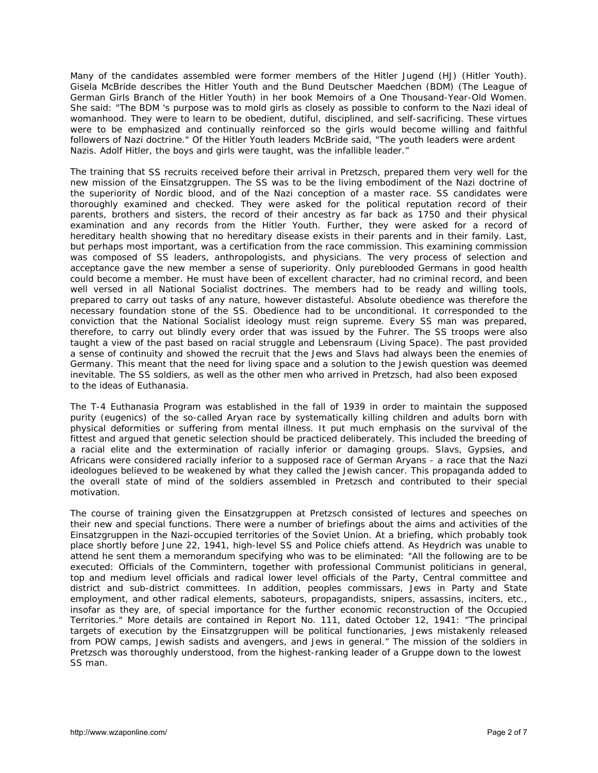Many of the candidates assembled were former members of the *Hitler Jugend (HJ)* (Hitler Youth). Gisela McBride describes the Hitler Youth and the *Bund Deutscher Maedchen (BDM)* (The League of German Girls Branch of the Hitler Youth) in her book *Memoirs of a One Thousand-Year-Old Women*. She said: "The *BDM* 's purpose was to mold girls as closely as possible to conform to the Nazi ideal of womanhood. They were to learn to be obedient, dutiful, disciplined, and self-sacrificing. These virtues were to be emphasized and continually reinforced so the girls would become willing and faithful followers of Nazi doctrine." Of the Hitler Youth leaders McBride said, "The youth leaders were ardent Nazis. Adolf Hitler, the boys and girls were taught, was the infallible leader."

The training that *SS* recruits received before their arrival in Pretzsch, prepared them very well for the new mission of the *Einsatzgruppen*. The *SS* was to be the living embodiment of the Nazi doctrine of the superiority of Nordic blood, and of the Nazi conception of a master race. *SS* candidates were thoroughly examined and checked. They were asked for the political reputation record of their parents, brothers and sisters, the record of their ancestry as far back as 1750 and their physical examination and any records from the Hitler Youth. Further, they were asked for a record of hereditary health showing that no hereditary disease exists in their parents and in their family. Last, but perhaps most important, was a certification from the race commission. This examining commission was composed of *SS* leaders, anthropologists, and physicians. The very process of selection and acceptance gave the new member a sense of superiority. Only pureblooded Germans in good health could become a member. He must have been of excellent character, had no criminal record, and been well versed in all National Socialist doctrines. The members had to be ready and willing tools, prepared to carry out tasks of any nature, however distasteful. Absolute obedience was therefore the necessary foundation stone of the *SS*. Obedience had to be unconditional. It corresponded to the conviction that the National Socialist ideology must reign supreme. Every *SS* man was prepared, therefore, to carry out blindly every order that was issued by the Fuhrer. The *SS* troops were also taught a view of the past based on racial struggle and *Lebensraum* (Living Space). The past provided a sense of continuity and showed the recruit that the Jews and Slavs had always been the enemies of Germany. This meant that the need for living space and a solution to the Jewish question was deemed inevitable. The *SS* soldiers, as well as the other men who arrived in Pretzsch, had also been exposed to the ideas of Euthanasia.

The T-4 Euthanasia Program was established in the fall of 1939 in order to maintain the supposed purity (eugenics) of the so-called Aryan race by systematically killing children and adults born with physical deformities or suffering from mental illness. It put much emphasis on the survival of the fittest and argued that genetic selection should be practiced deliberately. This included the breeding of a racial elite and the extermination of racially inferior or damaging groups. Slavs, Gypsies, and Africans were considered racially inferior to a supposed race of German Aryans - a race that the Nazi ideologues believed to be weakened by what they called the Jewish cancer. This propaganda added to the overall state of mind of the soldiers assembled in Pretzsch and contributed to their special motivation.

The course of training given the *Einsatzgruppen* at Pretzsch consisted of lectures and speeches on their new and special functions. There were a number of briefings about the aims and activities of the *Einsatzgruppen* in the Nazi-occupied territories of the Soviet Union. At a briefing, which probably took place shortly before June 22, 1941, high-level *SS* and Police chiefs attend. As Heydrich was unable to attend he sent them a memorandum specifying who was to be eliminated: "All the following are to be executed: Officials of the Commintern, together with professional Communist politicians in general, top and medium level officials and radical lower level officials of the Party, Central committee and district and sub-district committees. In addition, peoples commissars, Jews in Party and State employment, and other radical elements, saboteurs, propagandists, snipers, assassins, inciters, etc., insofar as they are, of special importance for the further economic reconstruction of the Occupied Territories." More details are contained in Report No. 111, dated October 12, 1941: "The principal targets of execution by the *Einsatzgruppen* will be political functionaries, Jews mistakenly released from POW camps, Jewish sadists and avengers, and Jews in general." The mission of the soldiers in Pretzsch was thoroughly understood, from the highest-ranking leader of a *Gruppe* down to the lowest *SS* man.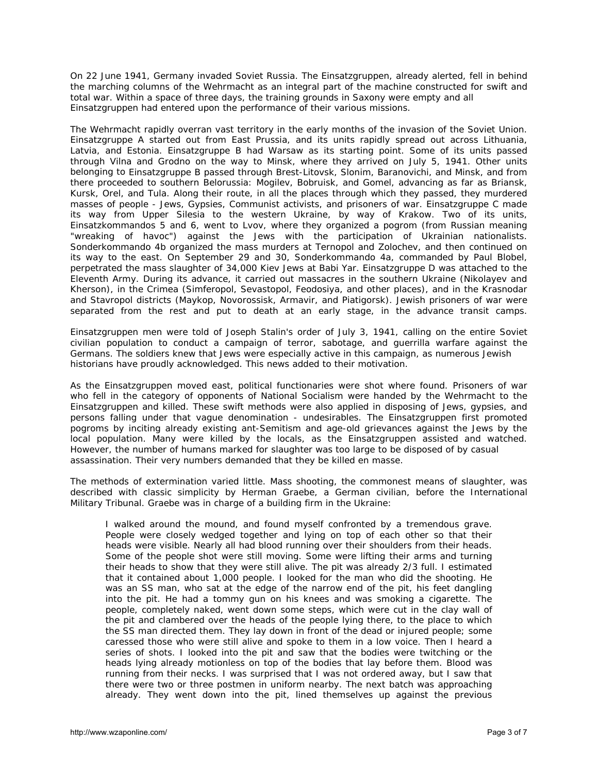On 22 June 1941, Germany invaded Soviet Russia. The *Einsatzgruppen*, already alerted, fell in behind the marching columns of the *Wehrmacht* as an integral part of the machine constructed for swift and total war. Within a space of three days, the training grounds in Saxony were empty and all *Einsatzgruppen* had entered upon the performance of their various missions.

The *Wehrmacht* rapidly overran vast territory in the early months of the invasion of the Soviet Union. *Einsatzgruppe* A started out from East Prussia, and its units rapidly spread out across Lithuania, Latvia, and Estonia. *Einsatzgruppe* B had Warsaw as its starting point. Some of its units passed through Vilna and Grodno on the way to Minsk, where they arrived on July 5, 1941. Other units belonging to *Einsatzgruppe* B passed through Brest-Litovsk, Slonim, Baranovichi, and Minsk, and from there proceeded to southern Belorussia: Mogilev, Bobruisk, and Gomel, advancing as far as Briansk, Kursk, Orel, and Tula. Along their route, in all the places through which they passed, they murdered masses of people - Jews, Gypsies, Communist activists, and prisoners of war. *Einsatzgruppe* C made its way from Upper Silesia to the western Ukraine, by way of Krakow. Two of its units, *Einsatzkommandos* 5 and 6, went to Lvov, where they organized a pogrom (from Russian meaning "wreaking of havoc") against the Jews with the participation of Ukrainian nationalists. *Sonderkommando* 4b organized the mass murders at Ternopol and Zolochev, and then continued on its way to the east. On September 29 and 30, *Sonderkommando* 4a, commanded by Paul Blobel, perpetrated the mass slaughter of 34,000 Kiev Jews at Babi Yar. *Einsatzgruppe* D was attached to the Eleventh Army. During its advance, it carried out massacres in the southern Ukraine (Nikolayev and Kherson), in the Crimea (Simferopol, Sevastopol, Feodosiya, and other places), and in the Krasnodar and Stavropol districts (Maykop, Novorossisk, Armavir, and Piatigorsk). Jewish prisoners of war were separated from the rest and put to death at an early stage, in the advance transit camps.

*Einsatzgruppen* men were told of Joseph Stalin's order of July 3, 1941, calling on the entire Soviet civilian population to conduct a campaign of terror, sabotage, and guerrilla warfare against the Germans. The soldiers knew that Jews were especially active in this campaign, as numerous Jewish historians have proudly acknowledged. This news added to their motivation.

As the *Einsatzgruppen* moved east, political functionaries were shot where found. Prisoners of war who fell in the category of opponents of National Socialism were handed by the Wehrmacht to the *Einsatzgruppen* and killed. These swift methods were also applied in disposing of Jews, gypsies, and persons falling under that vague denomination - undesirables. The *Einsatzgruppen* first promoted pogroms by inciting already existing ant-Semitism and age-old grievances against the Jews by the local population. Many were killed by the locals, as the *Einsatzgruppen* assisted and watched. However, the number of humans marked for slaughter was too large to be disposed of by casual assassination. Their very numbers demanded that they be killed en masse.

The methods of extermination varied little. Mass shooting, the commonest means of slaughter, was described with classic simplicity by Herman Graebe, a German civilian, before the International Military Tribunal. Graebe was in charge of a building firm in the Ukraine:

I walked around the mound, and found myself confronted by a tremendous grave. People were closely wedged together and lying on top of each other so that their heads were visible. Nearly all had blood running over their shoulders from their heads. Some of the people shot were still moving. Some were lifting their arms and turning their heads to show that they were still alive. The pit was already 2/3 full. I estimated that it contained about 1,000 people. I looked for the man who did the shooting. He was an *SS* man, who sat at the edge of the narrow end of the pit, his feet dangling into the pit. He had a tommy gun on his knees and was smoking a cigarette. The people, completely naked, went down some steps, which were cut in the clay wall of the pit and clambered over the heads of the people lying there, to the place to which the *SS* man directed them. They lay down in front of the dead or injured people; some caressed those who were still alive and spoke to them in a low voice. Then I heard a series of shots. I looked into the pit and saw that the bodies were twitching or the heads lying already motionless on top of the bodies that lay before them. Blood was running from their necks. I was surprised that I was not ordered away, but I saw that there were two or three postmen in uniform nearby. The next batch was approaching already. They went down into the pit, lined themselves up against the previous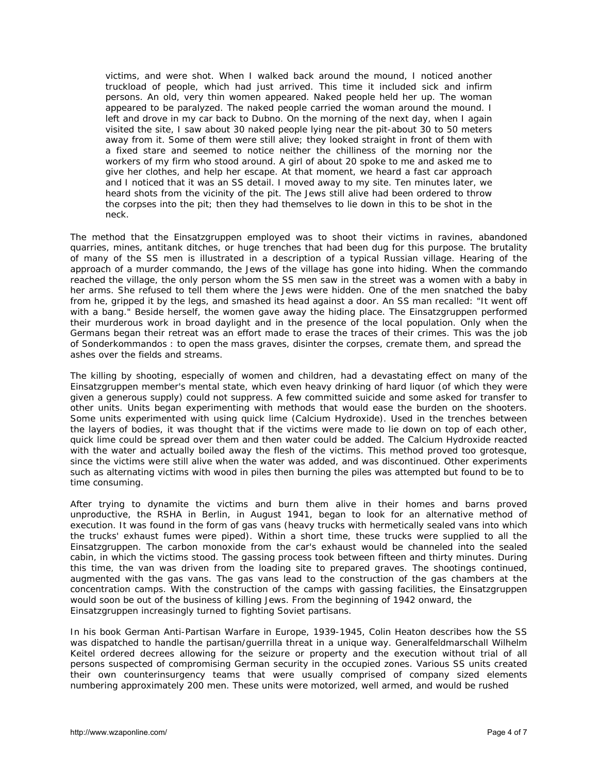victims, and were shot. When I walked back around the mound, I noticed another truckload of people, which had just arrived. This time it included sick and infirm persons. An old, very thin women appeared. Naked people held her up. The woman appeared to be paralyzed. The naked people carried the woman around the mound. I left and drove in my car back to Dubno. On the morning of the next day, when I again visited the site, I saw about 30 naked people lying near the pit-about 30 to 50 meters away from it. Some of them were still alive; they looked straight in front of them with a fixed stare and seemed to notice neither the chilliness of the morning nor the workers of my firm who stood around. A girl of about 20 spoke to me and asked me to give her clothes, and help her escape. At that moment, we heard a fast car approach and I noticed that it was an *SS* detail. I moved away to my site. Ten minutes later, we heard shots from the vicinity of the pit. The Jews still alive had been ordered to throw the corpses into the pit; then they had themselves to lie down in this to be shot in the neck.

The method that the *Einsatzgruppen* employed was to shoot their victims in ravines, abandoned quarries, mines, antitank ditches, or huge trenches that had been dug for this purpose. The brutality of many of the *SS* men is illustrated in a description of a typical Russian village. Hearing of the approach of a murder commando, the Jews of the village has gone into hiding. When the commando reached the village, the only person whom the *SS* men saw in the street was a women with a baby in her arms. She refused to tell them where the Jews were hidden. One of the men snatched the baby from he, gripped it by the legs, and smashed its head against a door. An *SS* man recalled: "It went off with a bang." Beside herself, the women gave away the hiding place. The *Einsatzgruppen* performed their murderous work in broad daylight and in the presence of the local population. Only when the Germans began their retreat was an effort made to erase the traces of their crimes. This was the job of *Sonderkommandos* : to open the mass graves, disinter the corpses, cremate them, and spread the ashes over the fields and streams.

The killing by shooting, especially of women and children, had a devastating effect on many of the *Einsatzgruppen* member's mental state, which even heavy drinking of hard liquor (of which they were given a generous supply) could not suppress. A few committed suicide and some asked for transfer to other units. Units began experimenting with methods that would ease the burden on the shooters. Some units experimented with using quick lime (Calcium Hydroxide). Used in the trenches between the layers of bodies, it was thought that if the victims were made to lie down on top of each other, quick lime could be spread over them and then water could be added. The Calcium Hydroxide reacted with the water and actually boiled away the flesh of the victims. This method proved too grotesque, since the victims were still alive when the water was added, and was discontinued. Other experiments such as alternating victims with wood in piles then burning the piles was attempted but found to be to time consuming.

After trying to dynamite the victims and burn them alive in their homes and barns proved unproductive, the RSHA in Berlin, in August 1941, began to look for an alternative method of execution. It was found in the form of gas vans (heavy trucks with hermetically sealed vans into which the trucks' exhaust fumes were piped). Within a short time, these trucks were supplied to all the *Einsatzgruppen*. The carbon monoxide from the car's exhaust would be channeled into the sealed cabin, in which the victims stood. The gassing process took between fifteen and thirty minutes. During this time, the van was driven from the loading site to prepared graves. The shootings continued, augmented with the gas vans. The gas vans lead to the construction of the gas chambers at the concentration camps. With the construction of the camps with gassing facilities, the *Einsatzgruppen* would soon be out of the business of killing Jews. From the beginning of 1942 onward, the *Einsatzgruppen* increasingly turned to fighting Soviet partisans.

In his book *German Anti-Partisan Warfare in Europe, 1939-1945*, Colin Heaton describes how the *SS*  was dispatched to handle the partisan/guerrilla threat in a unique way. *Generalfeldmarschall* Wilhelm Keitel ordered decrees allowing for the seizure or property and the execution without trial of all persons suspected of compromising German security in the occupied zones. Various *SS* units created their own counterinsurgency teams that were usually comprised of company sized elements numbering approximately 200 men. These units were motorized, well armed, and would be rushed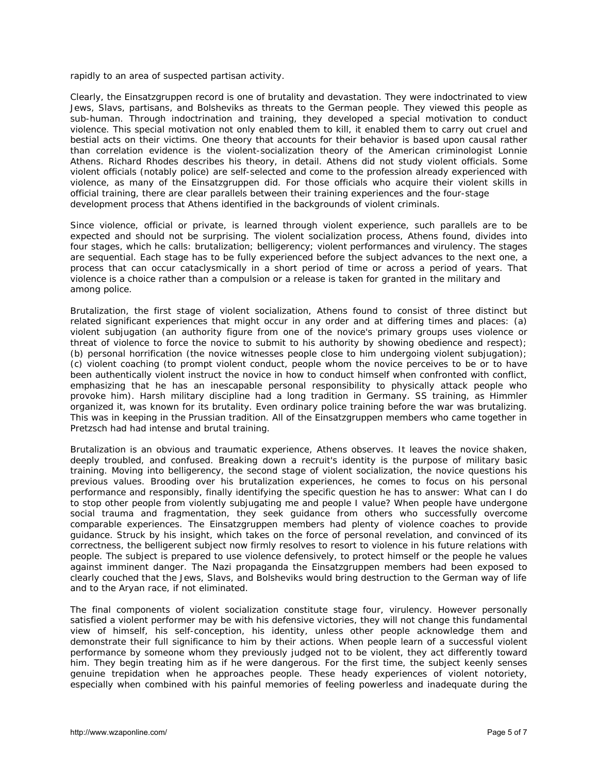rapidly to an area of suspected partisan activity.

Clearly, the *Einsatzgruppen* record is one of brutality and devastation. They were indoctrinated to view Jews, Slavs, partisans, and Bolsheviks as threats to the German people. They viewed this people as sub-human. Through indoctrination and training, they developed a special motivation to conduct violence. This special motivation not only enabled them to kill, it enabled them to carry out cruel and bestial acts on their victims. One theory that accounts for their behavior is based upon causal rather than correlation evidence is the violent-socialization theory of the American criminologist Lonnie Athens. Richard Rhodes describes his theory, in detail. Athens did not study violent officials. Some violent officials (notably police) are self-selected and come to the profession already experienced with violence, as many of the *Einsatzgruppen* did. For those officials who acquire their violent skills in official training, there are clear parallels between their training experiences and the four-stage development process that Athens identified in the backgrounds of violent criminals.

Since violence, official or private, is learned through violent experience, such parallels are to be expected and should not be surprising. The violent socialization process, Athens found, divides into four stages, which he calls: brutalization; belligerency; violent performances and virulency. The stages are sequential. Each stage has to be fully experienced before the subject advances to the next one, a process that can occur cataclysmically in a short period of time or across a period of years. That violence is a choice rather than a compulsion or a release is taken for granted in the military and among police.

Brutalization, the first stage of violent socialization, Athens found to consist of three distinct but related significant experiences that might occur in any order and at differing times and places: (a) violent subjugation (an authority figure from one of the novice's primary groups uses violence or threat of violence to force the novice to submit to his authority by showing obedience and respect); (b) personal horrification (the novice witnesses people close to him undergoing violent subjugation); (c) violent coaching (to prompt violent conduct, people whom the novice perceives to be or to have been authentically violent instruct the novice in how to conduct himself when confronted with conflict, emphasizing that he has an inescapable personal responsibility to physically attack people who provoke him). Harsh military discipline had a long tradition in Germany. *SS* training, as Himmler organized it, was known for its brutality. Even ordinary police training before the war was brutalizing. This was in keeping in the Prussian tradition. All of the *Einsatzgruppen* members who came together in Pretzsch had had intense and brutal training.

Brutalization is an obvious and traumatic experience, Athens observes. It leaves the novice shaken, deeply troubled, and confused. Breaking down a recruit's identity is the purpose of military basic training. Moving into belligerency, the second stage of violent socialization, the novice questions his previous values. Brooding over his brutalization experiences, he comes to focus on his personal performance and responsibly, finally identifying the specific question he has to answer: What can I do to stop other people from violently subjugating me and people I value? When people have undergone social trauma and fragmentation, they seek guidance from others who successfully overcome comparable experiences. The *Einsatzgruppen* members had plenty of violence coaches to provide guidance. Struck by his insight, which takes on the force of personal revelation, and convinced of its correctness, the belligerent subject now firmly resolves to resort to violence in his future relations with people. The subject is prepared to use violence defensively, to protect himself or the people he values against imminent danger. The Nazi propaganda the *Einsatzgruppen* members had been exposed to clearly couched that the Jews, Slavs, and Bolsheviks would bring destruction to the German way of life and to the Aryan race, if not eliminated.

The final components of violent socialization constitute stage four, virulency. However personally satisfied a violent performer may be with his defensive victories, they will not change this fundamental view of himself, his self-conception, his identity, unless other people acknowledge them and demonstrate their full significance to him by their actions. When people learn of a successful violent performance by someone whom they previously judged not to be violent, they act differently toward him. They begin treating him as if he were dangerous. For the first time, the subject keenly senses genuine trepidation when he approaches people. These heady experiences of violent notoriety, especially when combined with his painful memories of feeling powerless and inadequate during the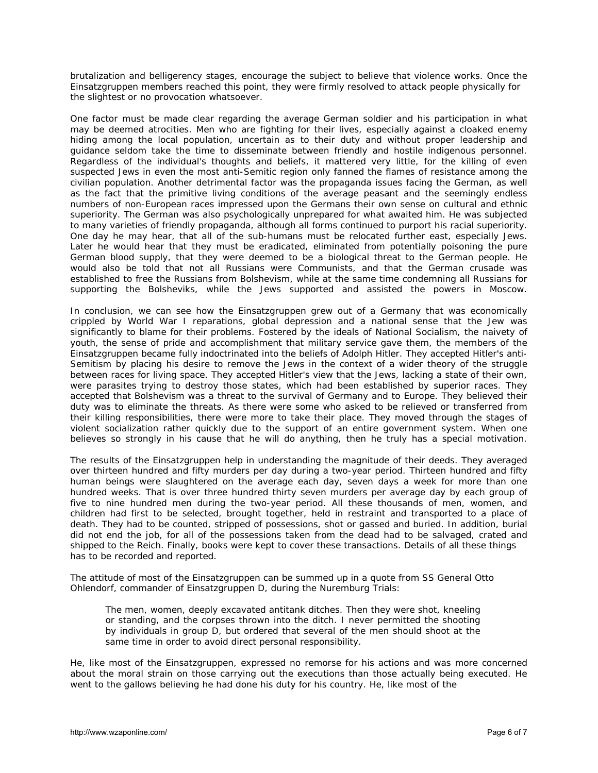brutalization and belligerency stages, encourage the subject to believe that violence works. Once the *Einsatzgruppen* members reached this point, they were firmly resolved to attack people physically for the slightest or no provocation whatsoever.

One factor must be made clear regarding the average German soldier and his participation in what may be deemed atrocities. Men who are fighting for their lives, especially against a cloaked enemy hiding among the local population, uncertain as to their duty and without proper leadership and guidance seldom take the time to disseminate between friendly and hostile indigenous personnel. Regardless of the individual's thoughts and beliefs, it mattered very little, for the killing of even suspected Jews in even the most anti-Semitic region only fanned the flames of resistance among the civilian population. Another detrimental factor was the propaganda issues facing the German, as well as the fact that the primitive living conditions of the average peasant and the seemingly endless numbers of non-European races impressed upon the Germans their own sense on cultural and ethnic superiority. The German was also psychologically unprepared for what awaited him. He was subjected to many varieties of friendly propaganda, although all forms continued to purport his racial superiority. One day he may hear, that all of the sub-humans must be relocated further east, especially Jews. Later he would hear that they must be eradicated, eliminated from potentially poisoning the pure German blood supply, that they were deemed to be a biological threat to the German people. He would also be told that not all Russians were Communists, and that the German crusade was established to free the Russians from Bolshevism, while at the same time condemning all Russians for supporting the Bolsheviks, while the Jews supported and assisted the powers in Moscow.

In conclusion, we can see how the *Einsatzgruppen* grew out of a Germany that was economically crippled by World War I reparations, global depression and a national sense that the Jew was significantly to blame for their problems. Fostered by the ideals of National Socialism, the naivety of youth, the sense of pride and accomplishment that military service gave them, the members of the *Einsatzgruppen* became fully indoctrinated into the beliefs of Adolph Hitler. They accepted Hitler's anti-Semitism by placing his desire to remove the Jews in the context of a wider theory of the struggle between races for living space. They accepted Hitler's view that the Jews, lacking a state of their own, were parasites trying to destroy those states, which had been established by superior races. They accepted that Bolshevism was a threat to the survival of Germany and to Europe. They believed their duty was to eliminate the threats. As there were some who asked to be relieved or transferred from their killing responsibilities, there were more to take their place. They moved through the stages of violent socialization rather quickly due to the support of an entire government system. When one believes so strongly in his cause that he will do anything, then he truly has a special motivation.

The results of the *Einsatzgruppen* help in understanding the magnitude of their deeds. They averaged over thirteen hundred and fifty murders per day during a two-year period. Thirteen hundred and fifty human beings were slaughtered on the average each day, seven days a week for more than one hundred weeks. That is over three hundred thirty seven murders per average day by each group of five to nine hundred men during the two-year period. All these thousands of men, women, and children had first to be selected, brought together, held in restraint and transported to a place of death. They had to be counted, stripped of possessions, shot or gassed and buried. In addition, burial did not end the job, for all of the possessions taken from the dead had to be salvaged, crated and shipped to the Reich. Finally, books were kept to cover these transactions. Details of all these things has to be recorded and reported.

The attitude of most of the *Einsatzgruppen* can be summed up in a quote from *SS* General Otto Ohlendorf, commander of *Einsatzgruppen* D, during the Nuremburg Trials:

The men, women, deeply excavated antitank ditches. Then they were shot, kneeling or standing, and the corpses thrown into the ditch. I never permitted the shooting by individuals in group D, but ordered that several of the men should shoot at the same time in order to avoid direct personal responsibility.

He, like most of the *Einsatzgruppen*, expressed no remorse for his actions and was more concerned about the moral strain on those carrying out the executions than those actually being executed. He went to the gallows believing he had done his duty for his country. He, like most of the